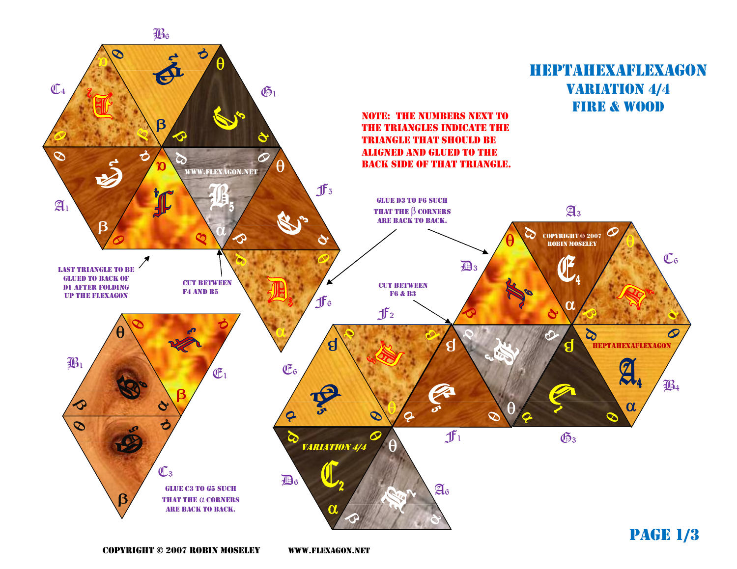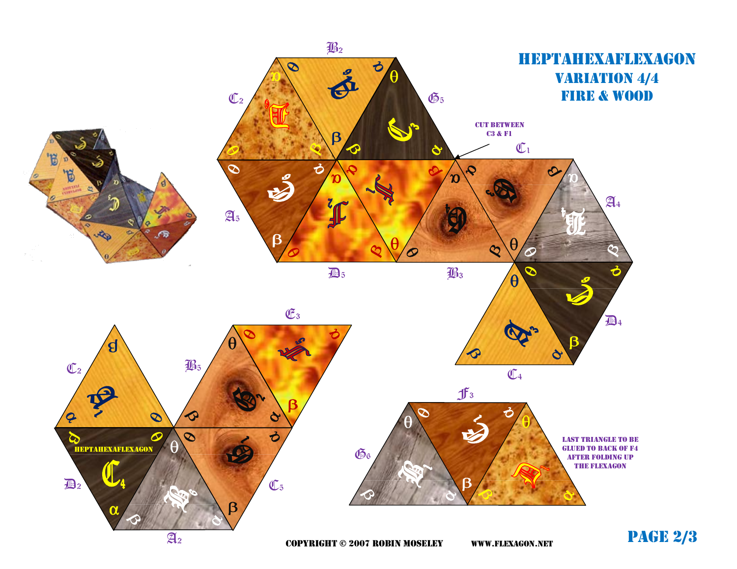